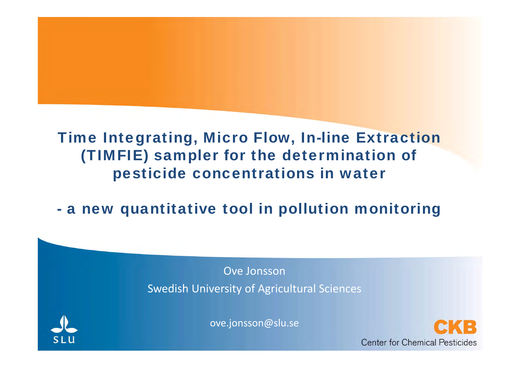# Time Integrating, Micro Flow, In-line Extraction (TIMFIE) sampler for the determination of pesticide concentrations in water

# a new quantitative tool in pollution monitoring

Ove JonssonSwedish University of Agricultural Sciences



ove.jonsson@slu.se

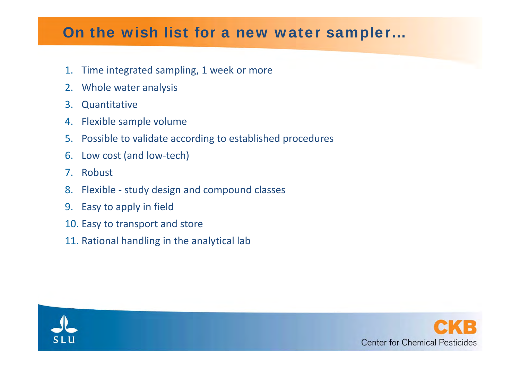#### On the wish list for a new water sampler…

- 1.Time integrated sampling, 1 week or more
- 2.Whole water analysis
- 3.**Quantitative**
- 4. Flexible sample volume
- 5.Possible to validate according to established procedures
- 6.Low cost (and low‐tech)
- 7. Robust
- 8.Flexible ‐ study design and compound classes
- 9.Easy to apply in field
- 10. Easy to transport and store
- 11. Rational handling in the analytical lab



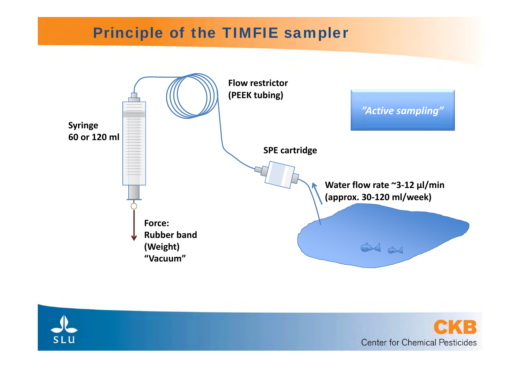#### Principle of the TIMFIE sampler



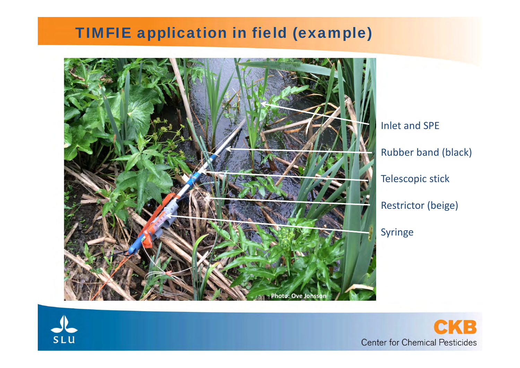#### TIMFIE application in field (example)



Inlet and SPE Rubber band (black) Telescopic stick Restrictor (beige)



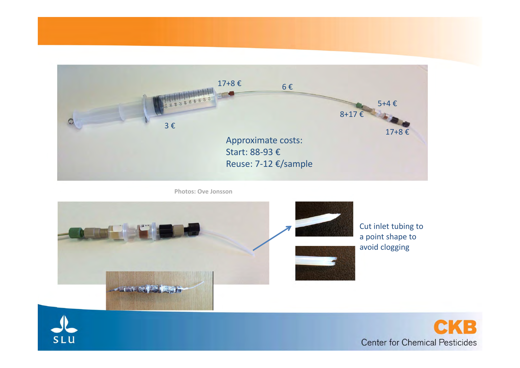

**Photos: Ove Jonsson**



avoid clogging

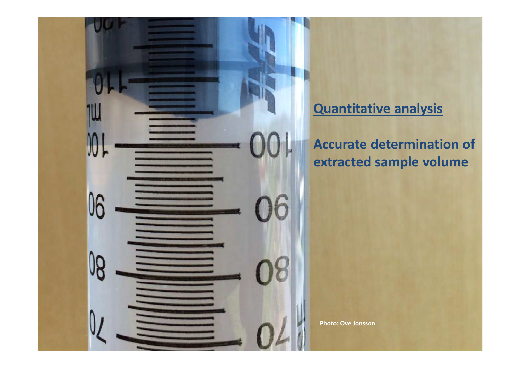

#### **Quantitative analysis**

**Accurate determination of extracted sample volume**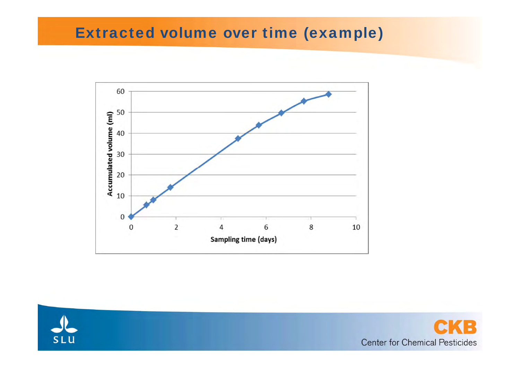#### Extracted volume over time (example)





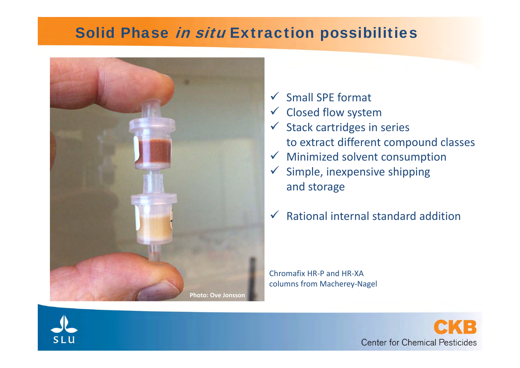#### Solid Phase in situ Extraction possibilities



- $\checkmark$ Small SPE format
- $\checkmark$  Closed flow system
- $\checkmark$  Stack cartridges in series to extract different compound classes
- $\checkmark$  Minimized solvent consumption
- $\checkmark$  Simple, inexpensive shipping and storage
- $\checkmark$ Rational internal standard addition

Chromafix HR‐P and HR‐XAcolumns from Macherey‐Nagel



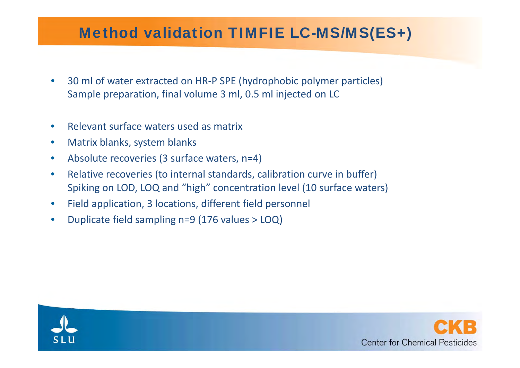# Method validation TIMFIE LC-MS/MS(ES+)

- $\bullet$ ● 30 ml of water extracted on HR-P SPE (hydrophobic polymer particles) Sample preparation, final volume 3 ml, 0.5 ml injected on LC
- $\bullet$ • Relevant surface waters used as matrix
- $\bullet$ **• Matrix blanks, system blanks**
- $\bullet$ Absolute recoveries (3 surface waters, n=4)
- $\bullet$ • Relative recoveries (to internal standards, calibration curve in buffer) Spiking on LOD, LO Q and "high" concentration level (10 surface waters)
- •• Field application, 3 locations, different field personnel
- $\bullet$ • Duplicate field sampling n=9 (176 values > LOQ)



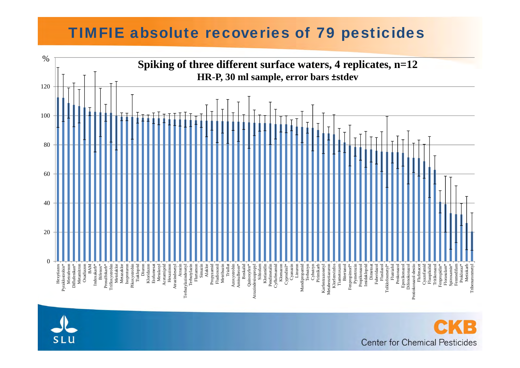#### TIMFIE absolute recoveries of 79 pesticides





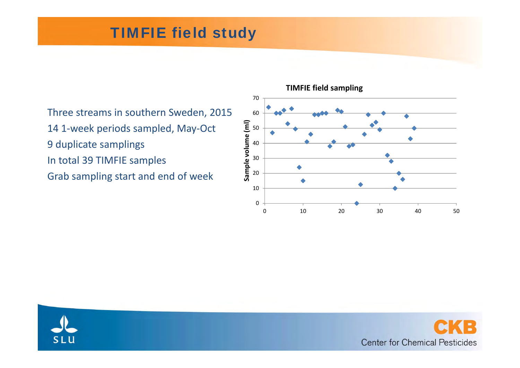# TIMFIE field study

Three streams in southern Sweden, 2015 14 1‐week periods sampled, May‐Oct 9 duplicate samplings In total 39 TIMFIE samples Grab sampling start and end of week







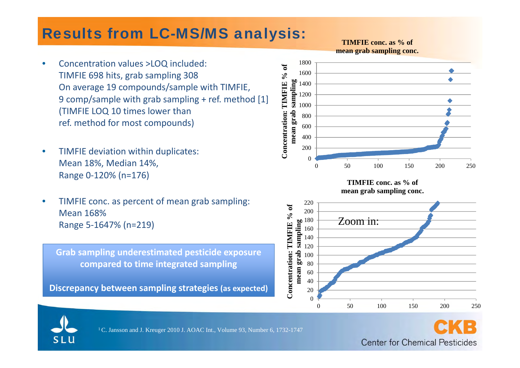#### Results from LC-MS/MS analysis:

**TIMFIE conc. as % of mean grab sampling conc.**

- • Concentration values >LOQ included: TIMFIE 698 hits, grab sampling 308 On average 19 compounds/sample with TIMFIE, 9 comp/sample with grab sampling + ref. method [1] (TIMFIE LOQ 10 times lower than ref. method for most compounds)
- $\bullet$  TIMFIE deviation within duplicates: Mean 18%, Median 14%, Range 0‐120% (n=176)
- $\bullet$  TIMFIE conc. as percent of mean grab sampling: Mean 168%Range 5‐1647% (n=219)

**Grab sampling underestimated pesticide exposure compared to time integrated sampling**

**Discrepancy between sampling strategies (as expected)**











<sup>1</sup> C. Jansson and J. Kreuger 2010 J. AOAC Int., Volume 93, Number 6, 1732-1747

Center for Chemical Pesticides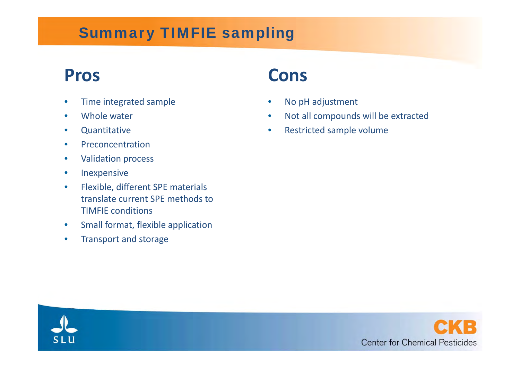# Summary TIMFIE sampling

# **Pros**

- •• Time integrated sample
- $\bullet$ Whole water
- $\bullet$ **Quantitative**
- $\bullet$ Preconcentration
- $\bullet$ Validation process
- $\bullet$ Inexpensive
- $\bullet$  Flexible, different SPE materials translate current SPE methods toTIMFIE conditions
- $\bullet$ Small format, flexible application
- $\bullet$ Transport and storage

# **Cons**

- •• No pH adjustment
- •Not all compounds will be extracted
- •**• Restricted sample volume**



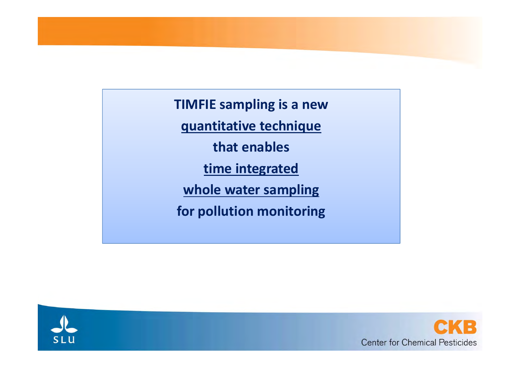**TIMFIE sampling is <sup>a</sup> new**

**quantitative technique**

**that enables**

**time integrated**

**whole water sampling**

**for pollution monitoring**



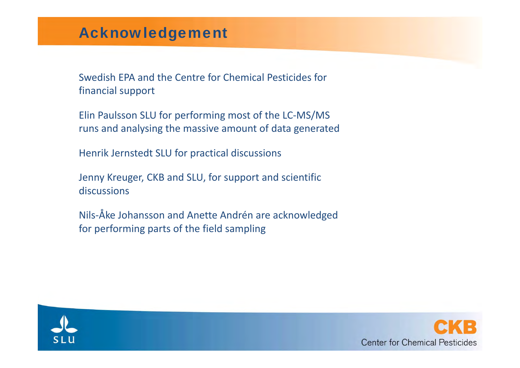## Acknowledgement

Swedish EPA and the Centre for Chemical Pesticides for financial support

Elin Paulsson SLU for performing most of the LC‐MS/MS runs and analysing the massive amount of data generated

Henrik Jernstedt SLU for practical discussions

Jenny Kreuger, CKB and SLU, for support and scientific discussions

Nils‐Åke Johansson and Anette Andrén are acknowledged for performing parts of the field sampling